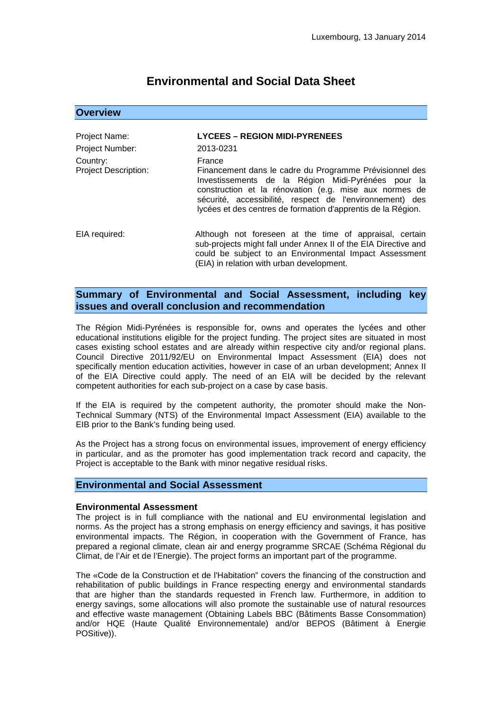# **Environmental and Social Data Sheet**

## **Overview**

## Project Name: **LYCEES – REGION MIDI-PYRENEES** Project Number: 2013-0231 Country: France<br>Project Description: Finance Financement dans le cadre du Programme Prévisionnel des Investissements de la Région Midi-Pyrénées pour la construction et la rénovation (e.g. mise aux normes de sécurité, accessibilité, respect de l'environnement) des lycées et des centres de formation d'apprentis de la Région. EIA required: Although not foreseen at the time of appraisal, certain sub-projects might fall under Annex II of the EIA Directive and could be subject to an Environmental Impact Assessment (EIA) in relation with urban development.

## **Summary of Environmental and Social Assessment, including key issues and overall conclusion and recommendation**

The Région Midi-Pyrénées is responsible for, owns and operates the lycées and other educational institutions eligible for the project funding. The project sites are situated in most cases existing school estates and are already within respective city and/or regional plans. Council Directive 2011/92/EU on Environmental Impact Assessment (EIA) does not specifically mention education activities, however in case of an urban development; Annex II of the EIA Directive could apply. The need of an EIA will be decided by the relevant competent authorities for each sub-project on a case by case basis.

If the EIA is required by the competent authority, the promoter should make the Non-Technical Summary (NTS) of the Environmental Impact Assessment (EIA) available to the EIB prior to the Bank's funding being used.

As the Project has a strong focus on environmental issues, improvement of energy efficiency in particular, and as the promoter has good implementation track record and capacity, the Project is acceptable to the Bank with minor negative residual risks.

## **Environmental and Social Assessment**

#### **Environmental Assessment**

The project is in full compliance with the national and EU environmental legislation and norms. As the project has a strong emphasis on energy efficiency and savings, it has positive environmental impacts. The Région, in cooperation with the Government of France, has prepared a regional climate, clean air and energy programme SRCAE (Schéma Régional du Climat, de l'Air et de l'Energie). The project forms an important part of the programme.

<span id="page-0-0"></span>The «Code de la Construction et de l'Habitation" covers the financing of the construction and rehabilitation of public buildings in France respecting energy and environmental standards that are higher than the standards requested in French law. Furthermore, in addition to energy savings, some allocations will also promote the sustainable use of natural resources and effective waste management (Obtaining Labels BBC (Bâtiments Basse Consommation) and/or HQE (Haute Qualité Environnementale) and/or BEPOS (Bâtiment à Energie POSitive)).